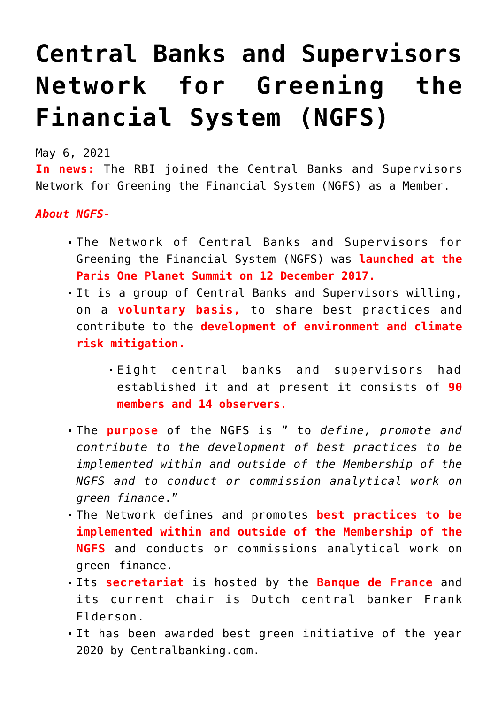## **[Central Banks and Supervisors](https://journalsofindia.com/central-banks-and-supervisors-network-for-greening-the-financial-system-ngfs/) [Network for Greening the](https://journalsofindia.com/central-banks-and-supervisors-network-for-greening-the-financial-system-ngfs/) [Financial System \(NGFS\)](https://journalsofindia.com/central-banks-and-supervisors-network-for-greening-the-financial-system-ngfs/)**

May 6, 2021

**In news:** The RBI joined the Central Banks and Supervisors Network for Greening the Financial System (NGFS) as a Member.

*About NGFS-*

- The Network of Central Banks and Supervisors for Greening the Financial System (NGFS) was **launched at the Paris One Planet Summit on 12 December 2017.**
- It is a group of Central Banks and Supervisors willing, on a **voluntary basis,** to share best practices and contribute to the **development of environment and climate risk mitigation.**
	- Eight central banks and supervisors had established it and at present it consists of **90 members and 14 observers.**
- The **purpose** of the NGFS is " to *define, promote and contribute to the development of best practices to be implemented within and outside of the Membership of the NGFS and to conduct or commission analytical work on green finance*."
- The Network defines and promotes **best practices to be implemented within and outside of the Membership of the NGFS** and conducts or commissions analytical work on green finance.
- Its **secretariat** is hosted by the **Banque de France** and its current chair is Dutch central banker Frank Elderson.
- It has been awarded best green initiative of the year 2020 by Centralbanking.com.